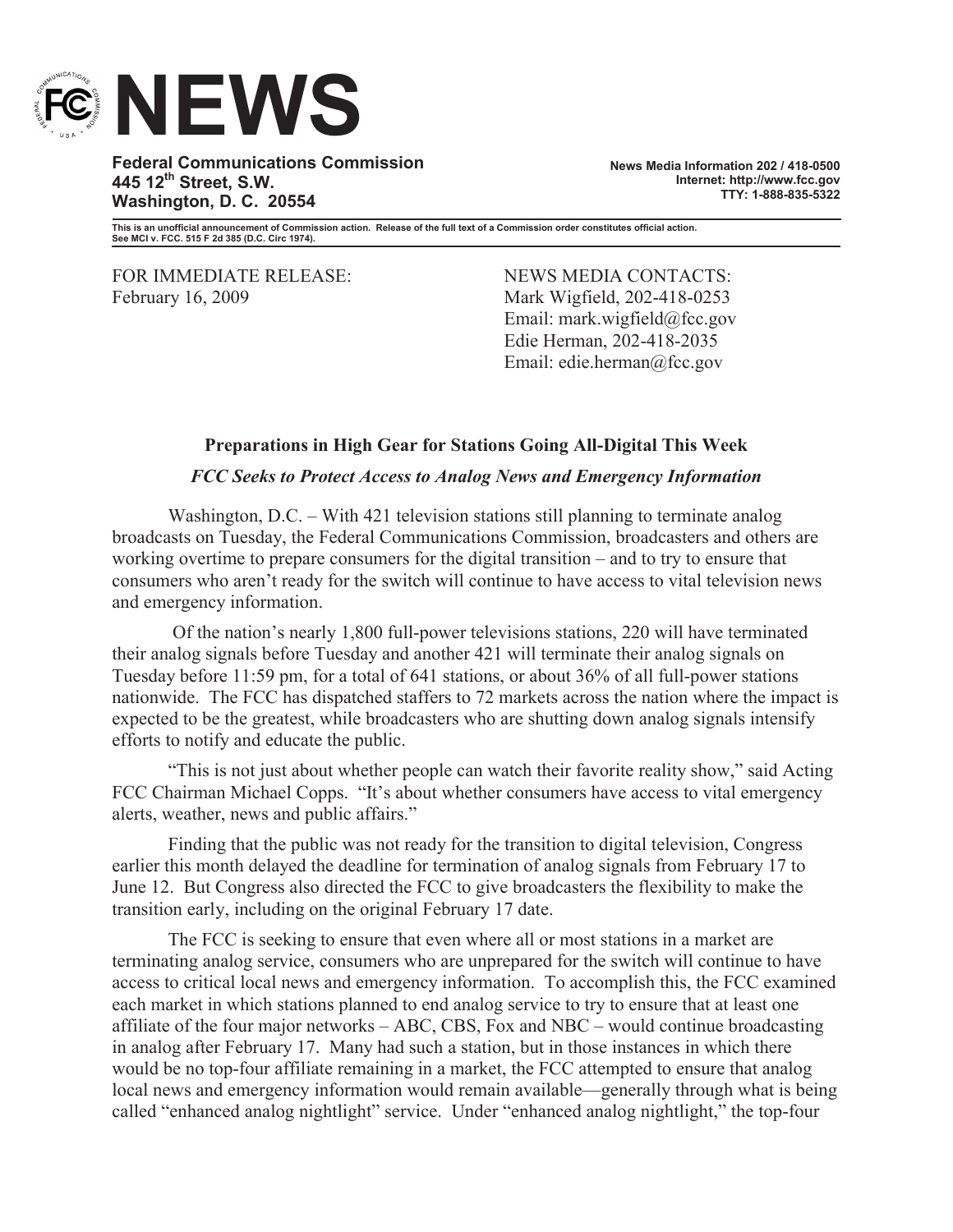

**Federal Communications Commission 445 12th Street, S.W. Washington, D. C. 20554**

**News Media Information 202 / 418-0500 Internet: http://www.fcc.gov TTY: 1-888-835-5322**

**This is an unofficial announcement of Commission action. Release of the full text of a Commission order constitutes official action. See MCI v. FCC. 515 F 2d 385 (D.C. Circ 1974).**

FOR IMMEDIATE RELEASE: NEWS MEDIA CONTACTS: February 16, 2009 Mark Wigfield, 202-418-0253

Email: mark.wigfield@fcc.gov Edie Herman, 202-418-2035 Email: edie.herman@fcc.gov

## **Preparations in High Gear for Stations Going All-Digital This Week**

## *FCC Seeks to Protect Access to Analog News and Emergency Information*

Washington, D.C. – With 421 television stations still planning to terminate analog broadcasts on Tuesday, the Federal Communications Commission, broadcasters and others are working overtime to prepare consumers for the digital transition – and to try to ensure that consumers who aren't ready for the switch will continue to have access to vital television news and emergency information.

Of the nation's nearly 1,800 full-power televisions stations, 220 will have terminated their analog signals before Tuesday and another 421 will terminate their analog signals on Tuesday before 11:59 pm, for a total of 641 stations, or about 36% of all full-power stations nationwide. The FCC has dispatched staffers to 72 markets across the nation where the impact is expected to be the greatest, while broadcasters who are shutting down analog signals intensify efforts to notify and educate the public.

"This is not just about whether people can watch their favorite reality show," said Acting FCC Chairman Michael Copps. "It's about whether consumers have access to vital emergency alerts, weather, news and public affairs."

Finding that the public was not ready for the transition to digital television, Congress earlier this month delayed the deadline for termination of analog signals from February 17 to June 12. But Congress also directed the FCC to give broadcasters the flexibility to make the transition early, including on the original February 17 date.

The FCC is seeking to ensure that even where all or most stations in a market are terminating analog service, consumers who are unprepared for the switch will continue to have access to critical local news and emergency information. To accomplish this, the FCC examined each market in which stations planned to end analog service to try to ensure that at least one affiliate of the four major networks – ABC, CBS, Fox and NBC – would continue broadcasting in analog after February 17. Many had such a station, but in those instances in which there would be no top-four affiliate remaining in a market, the FCC attempted to ensure that analog local news and emergency information would remain available—generally through what is being called "enhanced analog nightlight" service. Under "enhanced analog nightlight," the top-four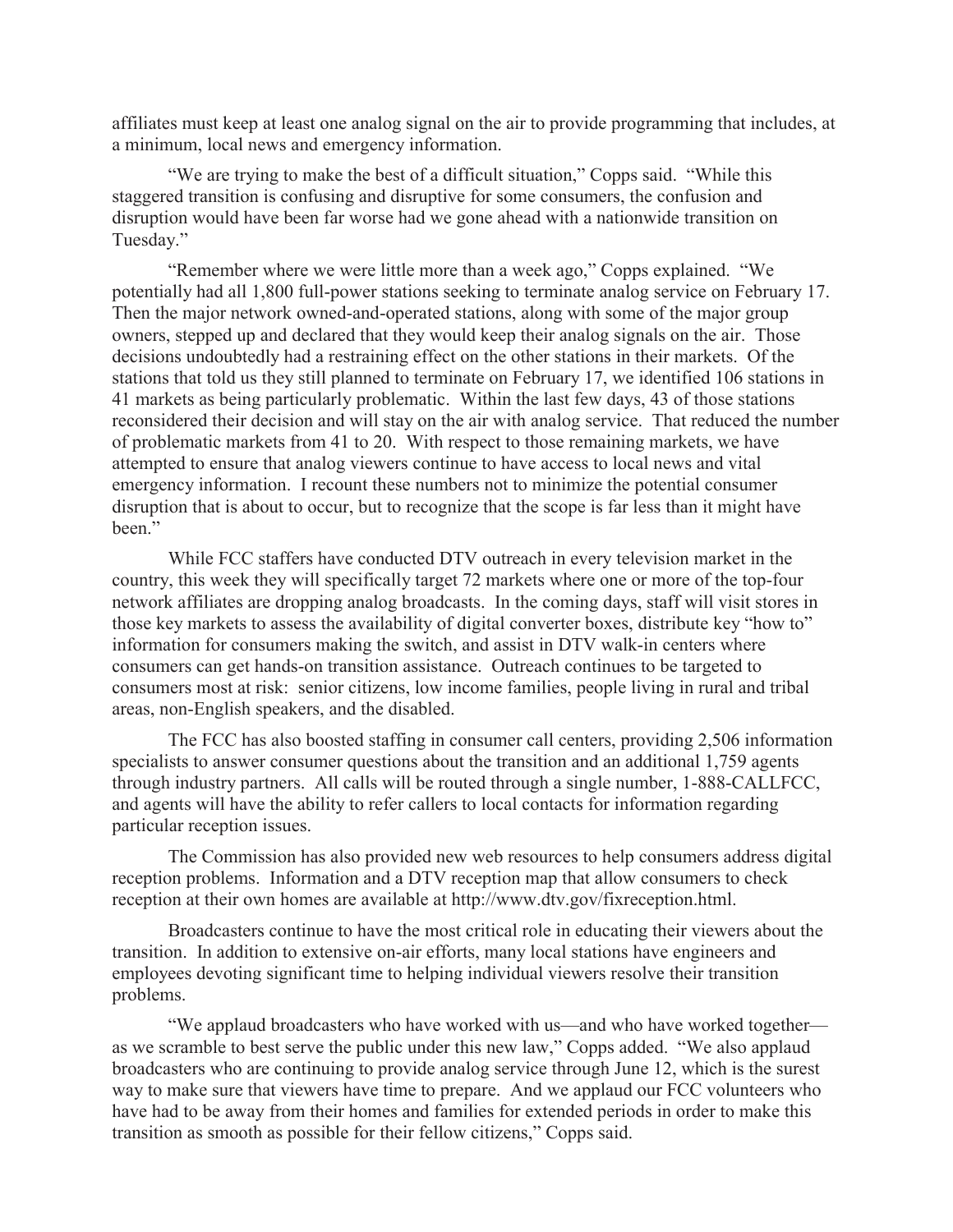affiliates must keep at least one analog signal on the air to provide programming that includes, at a minimum, local news and emergency information.

"We are trying to make the best of a difficult situation," Copps said. "While this staggered transition is confusing and disruptive for some consumers, the confusion and disruption would have been far worse had we gone ahead with a nationwide transition on Tuesday."

"Remember where we were little more than a week ago," Copps explained. "We potentially had all 1,800 full-power stations seeking to terminate analog service on February 17. Then the major network owned-and-operated stations, along with some of the major group owners, stepped up and declared that they would keep their analog signals on the air. Those decisions undoubtedly had a restraining effect on the other stations in their markets. Of the stations that told us they still planned to terminate on February 17, we identified 106 stations in 41 markets as being particularly problematic. Within the last few days, 43 of those stations reconsidered their decision and will stay on the air with analog service. That reduced the number of problematic markets from 41 to 20. With respect to those remaining markets, we have attempted to ensure that analog viewers continue to have access to local news and vital emergency information. I recount these numbers not to minimize the potential consumer disruption that is about to occur, but to recognize that the scope is far less than it might have been"

While FCC staffers have conducted DTV outreach in every television market in the country, this week they will specifically target 72 markets where one or more of the top-four network affiliates are dropping analog broadcasts. In the coming days, staff will visit stores in those key markets to assess the availability of digital converter boxes, distribute key "how to" information for consumers making the switch, and assist in DTV walk-in centers where consumers can get hands-on transition assistance. Outreach continues to be targeted to consumers most at risk: senior citizens, low income families, people living in rural and tribal areas, non-English speakers, and the disabled.

The FCC has also boosted staffing in consumer call centers, providing 2,506 information specialists to answer consumer questions about the transition and an additional 1,759 agents through industry partners. All calls will be routed through a single number, 1-888-CALLFCC, and agents will have the ability to refer callers to local contacts for information regarding particular reception issues.

The Commission has also provided new web resources to help consumers address digital reception problems. Information and a DTV reception map that allow consumers to check reception at their own homes are available at http://www.dtv.gov/fixreception.html.

Broadcasters continue to have the most critical role in educating their viewers about the transition. In addition to extensive on-air efforts, many local stations have engineers and employees devoting significant time to helping individual viewers resolve their transition problems.

"We applaud broadcasters who have worked with us—and who have worked together as we scramble to best serve the public under this new law," Copps added. "We also applaud broadcasters who are continuing to provide analog service through June 12, which is the surest way to make sure that viewers have time to prepare. And we applaud our FCC volunteers who have had to be away from their homes and families for extended periods in order to make this transition as smooth as possible for their fellow citizens," Copps said.